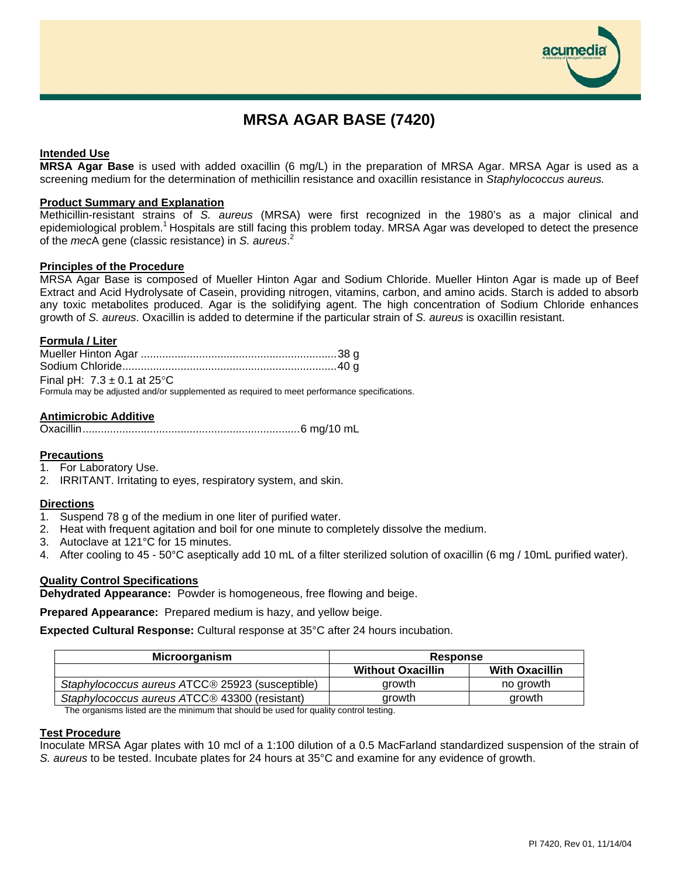# **MRSA AGAR BASE (7420)**

# **Intended Use**

**MRSA Agar Base** is used with added oxacillin (6 mg/L) in the preparation of MRSA Agar. MRSA Agar is used as a screening medium for the determination of methicillin resistance and oxacillin resistance in *Staphylococcus aureus.*

#### **Product Summary and Explanation**

Methicillin-resistant strains of *S. aureus* (MRSA) were first recognized in the 1980's as a major clinical and epidemiological problem.<sup>1</sup> Hospitals are still facing this problem today. MRSA Agar was developed to detect the presence of the *mec*A gene (classic resistance) in *S. aureus*. 2

#### **Principles of the Procedure**

MRSA Agar Base is composed of Mueller Hinton Agar and Sodium Chloride. Mueller Hinton Agar is made up of Beef Extract and Acid Hydrolysate of Casein, providing nitrogen, vitamins, carbon, and amino acids. Starch is added to absorb any toxic metabolites produced. Agar is the solidifying agent. The high concentration of Sodium Chloride enhances growth of *S. aureus*. Oxacillin is added to determine if the particular strain of *S. aureus* is oxacillin resistant.

#### **Formula / Liter**

| Final pH: $7.3 \pm 0.1$ at 25 °C                                                            |  |
|---------------------------------------------------------------------------------------------|--|
| Formula may be adjusted and/or supplemented as required to meet performance specifications. |  |

**Antimicrobic Additive** Oxacillin.......................................................................6 mg/10 mL

# **Precautions**

- 1. For Laboratory Use.
- 2. IRRITANT. Irritating to eyes, respiratory system, and skin.

#### **Directions**

- 1. Suspend 78 g of the medium in one liter of purified water.
- 2. Heat with frequent agitation and boil for one minute to completely dissolve the medium.
- 3. Autoclave at 121°C for 15 minutes.
- 4. After cooling to 45 50°C aseptically add 10 mL of a filter sterilized solution of oxacillin (6 mg / 10mL purified water).

# **Quality Control Specifications**

**Dehydrated Appearance:** Powder is homogeneous, free flowing and beige.

**Prepared Appearance:** Prepared medium is hazy, and yellow beige.

**Expected Cultural Response:** Cultural response at 35°C after 24 hours incubation.

| Microorganism                                   | <b>Response</b>          |                       |
|-------------------------------------------------|--------------------------|-----------------------|
|                                                 | <b>Without Oxacillin</b> | <b>With Oxacillin</b> |
| Staphylococcus aureus ATCC® 25923 (susceptible) | arowth                   | no growth             |
| Staphylococcus aureus ATCC® 43300 (resistant)   | arowth                   | arowth                |

The organisms listed are the minimum that should be used for quality control testing.

# **Test Procedure**

Inoculate MRSA Agar plates with 10 mcl of a 1:100 dilution of a 0.5 MacFarland standardized suspension of the strain of *S. aureus* to be tested. Incubate plates for 24 hours at 35°C and examine for any evidence of growth.